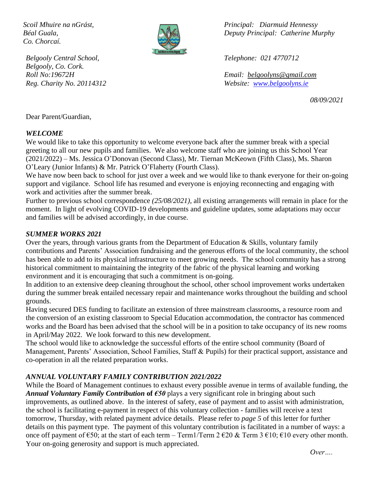*Co. Chorcaí.*



*Belgooly Central School, Telephone: 021 4770712 Belgooly, Co. Cork.*

*Scoil Mhuire na nGrást, Principal: Diarmuid Hennessy Béal Guala, Deputy Principal: Catherine Murphy*

*Roll No:19672H Email: [belgoolyns@gmail.com](mailto:belgoolyns@gmail.com) Reg. Charity No. 20114312 Website: [www.belgoolyns.ie](http://www.belgoolyns.ie/)*

*08/09/2021*

Dear Parent/Guardian,

#### *WELCOME*

We would like to take this opportunity to welcome everyone back after the summer break with a special greeting to all our new pupils and families. We also welcome staff who are joining us this School Year (2021/2022) – Ms. Jessica O'Donovan (Second Class), Mr. Tiernan McKeown (Fifth Class), Ms. Sharon O'Leary (Junior Infants) & Mr. Patrick O'Flaherty (Fourth Class).

We have now been back to school for just over a week and we would like to thank everyone for their on-going support and vigilance. School life has resumed and everyone is enjoying reconnecting and engaging with work and activities after the summer break.

Further to previous school correspondence *(25/08/2021),* all existing arrangements will remain in place for the moment. In light of evolving COVID-19 developments and guideline updates, some adaptations may occur and families will be advised accordingly, in due course.

#### *SUMMER WORKS 2021*

Over the years, through various grants from the Department of Education & Skills, voluntary family contributions and Parents' Association fundraising and the generous efforts of the local community, the school has been able to add to its physical infrastructure to meet growing needs. The school community has a strong historical commitment to maintaining the integrity of the fabric of the physical learning and working environment and it is encouraging that such a commitment is on-going.

In addition to an extensive deep cleaning throughout the school, other school improvement works undertaken during the summer break entailed necessary repair and maintenance works throughout the building and school grounds.

Having secured DES funding to facilitate an extension of three mainstream classrooms, a resource room and the conversion of an existing classroom to Special Education accommodation, the contractor has commenced works and the Board has been advised that the school will be in a position to take occupancy of its new rooms in April/May 2022. We look forward to this new development.

The school would like to acknowledge the successful efforts of the entire school community (Board of Management, Parents' Association, School Families, Staff & Pupils) for their practical support, assistance and co-operation in all the related preparation works.

#### *ANNUAL VOLUNTARY FAMILY CONTRIBUTION 2021/2022*

While the Board of Management continues to exhaust every possible avenue in terms of available funding, the *Annual Voluntary Family Contribution* **of** *€50* plays a very significant role in bringing about such improvements, as outlined above. In the interest of safety, ease of payment and to assist with administration, the school is facilitating e-payment in respect of this voluntary collection - families will receive a text tomorrow, Thursday, with related payment advice details. Please refer to *page 5* of this letter for further details on this payment type. The payment of this voluntary contribution is facilitated in a number of ways: a once off payment of  $\epsilon$ 50; at the start of each term – Term1/Term 2  $\epsilon$ 20 & Term 3  $\epsilon$ 10;  $\epsilon$ 10 every other month. Your on-going generosity and support is much appreciated.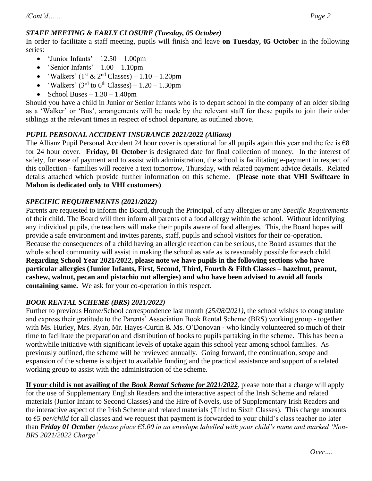## *STAFF MEETING & EARLY CLOSURE (Tuesday, 05 October)*

In order to facilitate a staff meeting, pupils will finish and leave **on Tuesday, 05 October** in the following series:

- 'Junior Infants'  $-12.50 1.00$ pm
- 'Senior Infants'  $1.00 1.10$ pm
- 'Walkers' ( $1<sup>st</sup> \& 2<sup>nd</sup>$  Classes)  $1.10 1.20$ pm
- 'Walkers' ( $3<sup>rd</sup>$  to  $6<sup>th</sup>$  Classes) 1.20 1.30pm
- School Buses  $1.30 1.40$ pm

Should you have a child in Junior or Senior Infants who is to depart school in the company of an older sibling as a 'Walker' or 'Bus', arrangements will be made by the relevant staff for these pupils to join their older siblings at the relevant times in respect of school departure, as outlined above.

# *PUPIL PERSONAL ACCIDENT INSURANCE 2021/2022 (Allianz)*

The Allianz Pupil Personal Accident 24 hour cover is operational for all pupils again this year and the fee is  $\epsilon$ 8 for 24 hour cover. **Friday, 01 October** is designated date for final collection of money. In the interest of safety, for ease of payment and to assist with administration, the school is facilitating e-payment in respect of this collection - families will receive a text tomorrow, Thursday, with related payment advice details. Related details attached which provide further information on this scheme. **(Please note that VHI Swiftcare in Mahon is dedicated only to VHI customers)**

## *SPECIFIC REQUIREMENTS (2021/2022)*

Parents are requested to inform the Board, through the Principal, of any allergies or any *Specific Requirements* of their child. The Board will then inform all parents of a food allergy within the school. Without identifying any individual pupils, the teachers will make their pupils aware of food allergies. This, the Board hopes will provide a safe environment and invites parents, staff, pupils and school visitors for their co-operation. Because the consequences of a child having an allergic reaction can be serious, the Board assumes that the whole school community will assist in making the school as safe as is reasonably possible for each child. **Regarding School Year 2021/2022, please note we have pupils in the following sections who have particular allergies (Junior Infants, First, Second, Third, Fourth & Fifth Classes – hazelnut, peanut, cashew, walnut, pecan and pistachio nut allergies) and who have been advised to avoid all foods containing same.** We ask for your co-operation in this respect.

## *BOOK RENTAL SCHEME (BRS) 2021/2022)*

Further to previous Home/School correspondence last month *(25/08/2021),* the school wishes to congratulate and express their gratitude to the Parents' Association Book Rental Scheme (BRS) working group - together with Ms. Hurley, Mrs. Ryan, Mr. Hayes-Curtin & Ms. O'Donovan - who kindly volunteered so much of their time to facilitate the preparation and distribution of books to pupils partaking in the scheme. This has been a worthwhile initiative with significant levels of uptake again this school year among school families. As previously outlined, the scheme will be reviewed annually. Going forward, the continuation, scope and expansion of the scheme is subject to available funding and the practical assistance and support of a related working group to assist with the administration of the scheme.

**If your child is not availing of the** *Book Rental Scheme for 2021/2022*, please note that a charge will apply for the use of Supplementary English Readers and the interactive aspect of the Irish Scheme and related materials (Junior Infant to Second Classes) and the Hire of Novels, use of Supplementary Irish Readers and the interactive aspect of the Irish Scheme and related materials (Third to Sixth Classes). This charge amounts to *€5 per/child* for all classes and we request that payment is forwarded to your child's class teacher no later than *Friday 01 October (please place €5.00 in an envelope labelled with your child's name and marked 'Non-BRS 2021/2022 Charge'*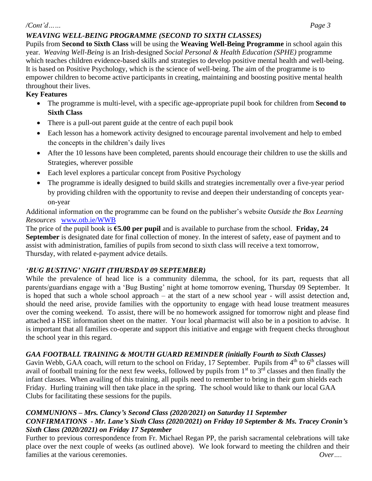#### */Cont'd…… Page 3*

Pupils from **Second to Sixth Class** will be using the **Weaving Well-Being Programme** in school again this year. *Weaving Well-Being* is an Irish-designed *Social Personal & Health Education (SPHE)* programme which teaches children evidence-based skills and strategies to develop positive mental health and well-being. It is based on Positive Psychology, which is the science of well-being. The aim of the programme is to empower children to become active participants in creating, maintaining and boosting positive mental health throughout their lives.

#### **Key Features**

- The programme is multi-level, with a specific age-appropriate pupil book for children from **Second to Sixth Class**
- There is a pull-out parent guide at the centre of each pupil book
- Each lesson has a homework activity designed to encourage parental involvement and help to embed the concepts in the children's daily lives
- After the 10 lessons have been completed, parents should encourage their children to use the skills and Strategies, wherever possible
- Each level explores a particular concept from Positive Psychology
- The programme is ideally designed to build skills and strategies incrementally over a five-year period by providing children with the opportunity to revise and deepen their understanding of concepts yearon-year

Additional information on the programme can be found on the publisher's website *Outside the Box Learning Resources* [www.otb.ie/WWB](http://www.otb.ie/WWB)

The price of the pupil book is **€5.00 per pupil** and is available to purchase from the school. **Friday, 24 September** is designated date for final collection of money. In the interest of safety, ease of payment and to assist with administration, families of pupils from second to sixth class will receive a text tomorrow, Thursday, with related e-payment advice details.

## *'BUG BUSTING' NIGHT (THURSDAY 09 SEPTEMBER)*

While the prevalence of head lice is a community dilemma, the school, for its part, requests that all parents/guardians engage with a 'Bug Busting' night at home tomorrow evening, Thursday 09 September. It is hoped that such a whole school approach – at the start of a new school year - will assist detection and, should the need arise, provide families with the opportunity to engage with head louse treatment measures over the coming weekend. To assist, there will be no homework assigned for tomorrow night and please find attached a HSE information sheet on the matter. Your local pharmacist will also be in a position to advise. It is important that all families co-operate and support this initiative and engage with frequent checks throughout the school year in this regard.

## *GAA FOOTBALL TRAINING & MOUTH GUARD REMINDER (initially Fourth to Sixth Classes)*

Gavin Webb, GAA coach, will return to the school on Friday, 17 September. Pupils from 4<sup>th</sup> to 6<sup>th</sup> classes will avail of football training for the next few weeks, followed by pupils from  $1<sup>st</sup>$  to  $3<sup>rd</sup>$  classes and then finally the infant classes. When availing of this training, all pupils need to remember to bring in their gum shields each Friday. Hurling training will then take place in the spring. The school would like to thank our local GAA Clubs for facilitating these sessions for the pupils.

#### *COMMUNIONS – Mrs. Clancy's Second Class (2020/2021) on Saturday 11 September CONFIRMATIONS - Mr. Lane's Sixth Class (2020/2021) on Friday 10 September & Ms. Tracey Cronin's Sixth Class (2020/2021) on Friday 17 September*

Further to previous correspondence from Fr. Michael Regan PP, the parish sacramental celebrations will take place over the next couple of weeks (as outlined above). We look forward to meeting the children and their families at the various ceremonies. *Over….*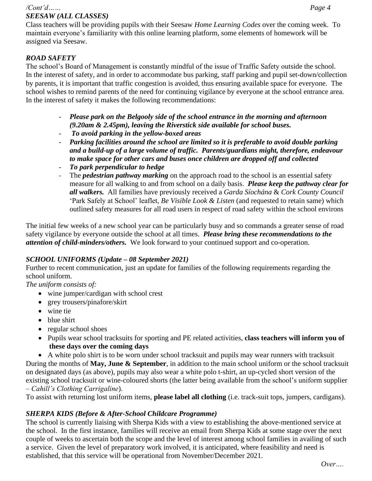#### */Cont'd…… Page 4 SEESAW (ALL CLASSES)*

Class teachers will be providing pupils with their Seesaw *Home Learning Codes* over the coming week. To maintain everyone's familiarity with this online learning platform, some elements of homework will be assigned via Seesaw.

#### *ROAD SAFETY*

The school's Board of Management is constantly mindful of the issue of Traffic Safety outside the school. In the interest of safety, and in order to accommodate bus parking, staff parking and pupil set-down/collection by parents, it is important that traffic congestion is avoided, thus ensuring available space for everyone. The school wishes to remind parents of the need for continuing vigilance by everyone at the school entrance area. In the interest of safety it makes the following recommendations:

- *Please park on the Belgooly side of the school entrance in the morning and afternoon (9.20am & 2.45pm), leaving the Riverstick side available for school buses.*
- *To avoid parking in the yellow-boxed areas*
- *Parking facilities around the school are limited so it is preferable to avoid double parking and a build-up of a large volume of traffic. Parents/guardians might, therefore, endeavour to make space for other cars and buses once children are dropped off and collected*
- *To park perpendicular to hedge*
- The *pedestrian pathway marking* on the approach road to the school is an essential safety measure for all walking to and from school on a daily basis. *Please keep the pathway clear for all walkers.* All families have previously received a *Garda Síochána* & *Cork County Council* 'Park Safely at School' leaflet, *Be Visible Look & Listen* (and requested to retain same) which outlined safety measures for all road users in respect of road safety within the school environs

The initial few weeks of a new school year can be particularly busy and so commands a greater sense of road safety vigilance by everyone outside the school at all times. *Please bring these recommendations to the attention of child-minders/others.* We look forward to your continued support and co-operation.

## *SCHOOL UNIFORMS (Update – 08 September 2021)*

Further to recent communication, just an update for families of the following requirements regarding the school uniform.

*The uniform consists of:*

- wine jumper/cardigan with school crest
- grey trousers/pinafore/skirt
- wine tie
- blue shirt
- regular school shoes
- Pupils wear school tracksuits for sporting and PE related activities, **class teachers will inform you of these days over the coming days**

• A white polo shirt is to be worn under school tracksuit and pupils may wear runners with tracksuit During the months of **May, June & September**, in addition to the main school uniform or the school tracksuit on designated days (as above), pupils may also wear a white polo t-shirt, an up-cycled short version of the existing school tracksuit or wine-coloured shorts (the latter being available from the school's uniform supplier – *Cahill's Clothing Carrigaline*).

To assist with returning lost uniform items, **please label all clothing** (i.e. track-suit tops, jumpers, cardigans).

## *SHERPA KIDS (Before & After-School Childcare Programme)*

The school is currently liaising with Sherpa Kids with a view to establishing the above-mentioned service at the school. In the first instance, families will receive an email from Sherpa Kids at some stage over the next couple of weeks to ascertain both the scope and the level of interest among school families in availing of such a service. Given the level of preparatory work involved, it is anticipated, where feasibility and need is established, that this service will be operational from November/December 2021.